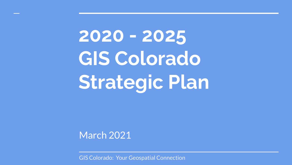**2020 - 2025 GIS Colorado Strategic Plan**

March 2021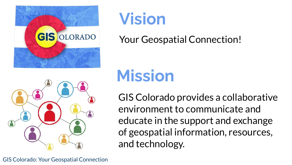

# **Vision**

Your Geospatial Connection!

# **Mission**

GIS Colorado provides a collaborative environment to communicate and educate in the support and exchange of geospatial information, resources, and technology.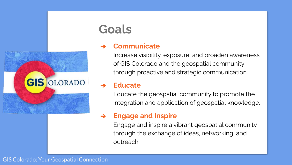

### **Goals**

#### ➔ **Communicate**

Increase visibility, exposure, and broaden awareness of GIS Colorado and the geospatial community through proactive and strategic communication.

#### ➔ **Educate**

Educate the geospatial community to promote the integration and application of geospatial knowledge.

#### ➔ **Engage and Inspire**

Engage and inspire a vibrant geospatial community through the exchange of ideas, networking, and outreach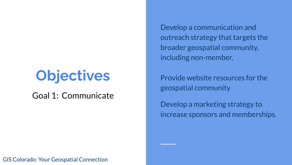# **Objectives**

Goal 1: Communicate

Develop a communication and outreach strategy that targets the broader geospatial community, including non-member.

Provide website resources for the geospatial community

Develop a marketing strategy to increase sponsors and memberships.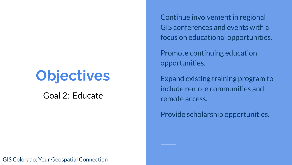## **Objectives**

Goal 2: Educate

Continue involvement in regional GIS conferences and events with a focus on educational opportunities.

Promote continuing education opportunities.

Expand existing training program to include remote communities and remote access.

Provide scholarship opportunities.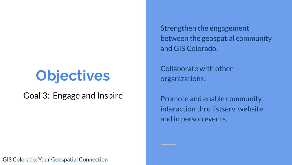# **Objectives**

Goal 3: Engage and Inspire

Strengthen the engagement between the geospatial community and GIS Colorado.

Collaborate with other organizations.

Promote and enable community interaction thru listserv, website, and in person events.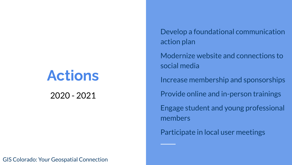### **Actions**

2020 - 2021

GIS Colorado: Your Geospatial Connection

Develop a foundational communication action plan

Modernize website and connections to social media

Increase membership and sponsorships

Provide online and in-person trainings

Engage student and young professional members

Participate in local user meetings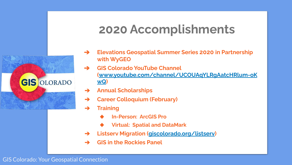### **2020 Accomplishments**

- ➔ **Elevations Geospatial Summer Series 2020 in Partnership with WyGEO**
	- ➔ **GIS Colorado YouTube Channel ([www.youtube.com/channel/UCOUAqYLRgAatcHRlum-oK](https://www.youtube.com/channel/UCOUAqYLRgAatcHRlum-oKwQ) [wQ\)](https://www.youtube.com/channel/UCOUAqYLRgAatcHRlum-oKwQ)**
- ➔ **Annual Scholarships**
- ➔ **Career Colloquium (February)**
- ➔ **Training**
	- ◆ **In-Person: ArcGIS Pro**
	- ◆ **Virtual: Spatial and DataMark**
- ➔ **Listserv Migration [\(giscolorado.org/listserv\)](https://giscolorado.org/listserv/)**
- ➔ **GIS in the Rockies Panel**

#### GIS Colorado: Your Geospatial Connection

**GIS OLORADO**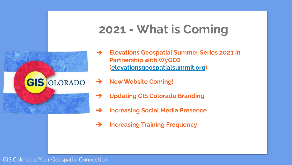### **2021 - What is Coming**



- ➔ **Elevations Geospatial Summer Series 2021 in Partnership with WyGEO [\(elevationsgeospatialsummit.org](http://elevationsgeospatialsummit.org/))**
- ➔ **New Website Coming!**
- ➔ **Updating GIS Colorado Branding**
- ➔ **Increasing Social Media Presence**
- ➔ **Increasing Training Frequency**